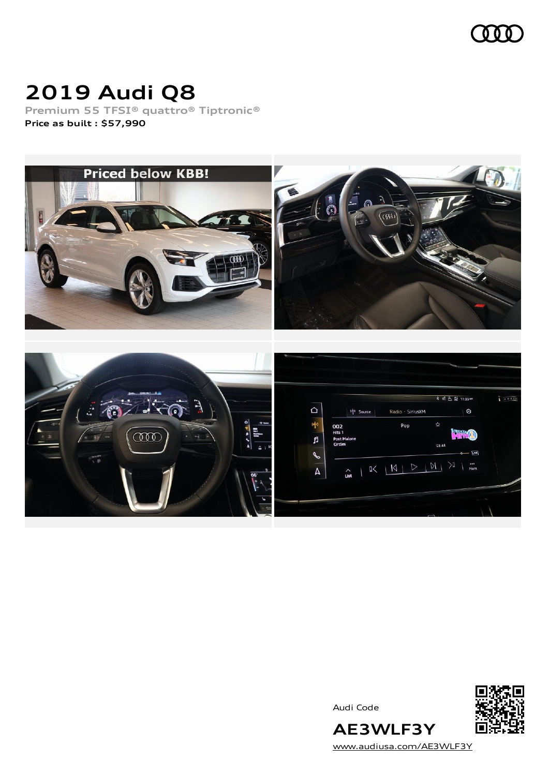

# **2019 Audi Q8**

**Premium 55 TFSI® quattro® Tiptronic® Price as built [:](#page-10-0) \$57,990**







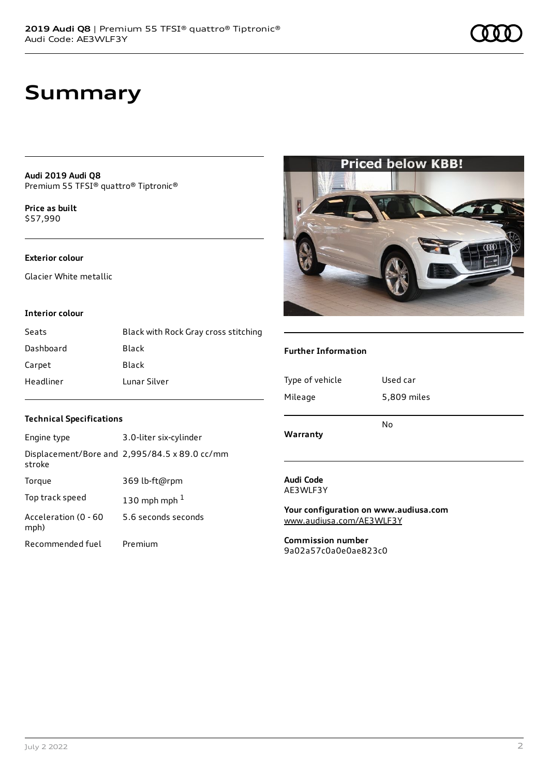## **Summary**

**Audi 2019 Audi Q8** Premium 55 TFSI® quattro® Tiptronic®

**Price as buil[t](#page-10-0)** \$57,990

#### **Exterior colour**

Glacier White metallic

#### **Interior colour**

| Seats     | Black with Rock Gray cross stitching |
|-----------|--------------------------------------|
| Dashboard | Black                                |
| Carpet    | Black                                |
| Headliner | Lunar Silver                         |

#### **Further Information**

| Warranty        | No          |
|-----------------|-------------|
| Mileage         | 5,809 miles |
| Type of vehicle | Used car    |

### **Audi Code**

AE3WLF3Y

**Your configuration on www.audiusa.com** [www.audiusa.com/AE3WLF3Y](https://www.audiusa.com/AE3WLF3Y)

**Commission number** 9a02a57c0a0e0ae823c0

#### **Technical Specifications**

| Engine type                  | 3.0-liter six-cylinder                        |
|------------------------------|-----------------------------------------------|
| stroke                       | Displacement/Bore and 2,995/84.5 x 89.0 cc/mm |
| Torque                       | 369 lb-ft@rpm                                 |
| Top track speed              | 130 mph mph $1$                               |
| Acceleration (0 - 60<br>mph) | 5.6 seconds seconds                           |
| Recommended fuel             | Premium                                       |

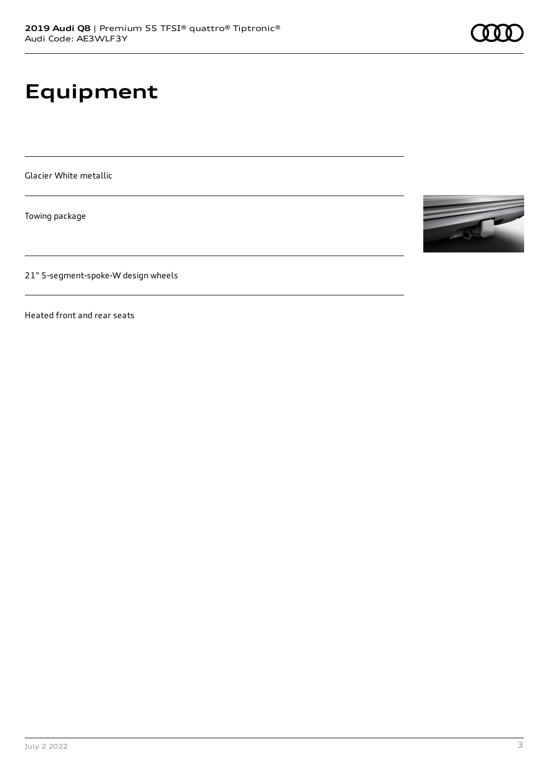# **Equipment**

Glacier White metallic

Towing package

21" 5-segment-spoke-W design wheels

Heated front and rear seats

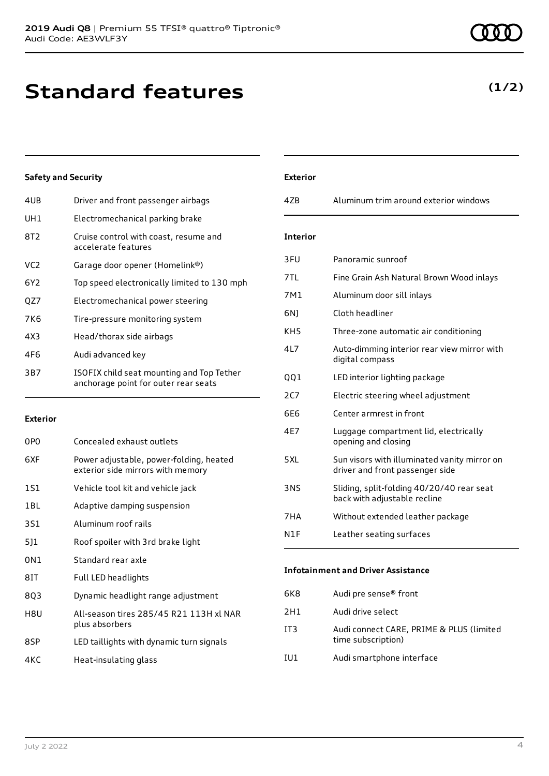# **Standard features**

#### **Safety and Security**

| 4UB | Driver and front passenger airbags                                                |
|-----|-----------------------------------------------------------------------------------|
| UH1 | Electromechanical parking brake                                                   |
| 8T2 | Cruise control with coast, resume and<br>accelerate features                      |
| VC2 | Garage door opener (Homelink®)                                                    |
| 6Y2 | Top speed electronically limited to 130 mph                                       |
| OZ7 | Electromechanical power steering                                                  |
| 7K6 | Tire-pressure monitoring system                                                   |
| 4X3 | Head/thorax side airbags                                                          |
| 4F6 | Audi advanced key                                                                 |
| 3B7 | ISOFIX child seat mounting and Top Tether<br>anchorage point for outer rear seats |
|     |                                                                                   |

#### **Exterior**

| 0P <sub>0</sub> | Concealed exhaust outlets                                                    |
|-----------------|------------------------------------------------------------------------------|
| 6XF             | Power adjustable, power-folding, heated<br>exterior side mirrors with memory |
| 1S1             | Vehicle tool kit and vehicle jack                                            |
| 1BL             | Adaptive damping suspension                                                  |
| 3S1             | Aluminum roof rails                                                          |
| 5]1             | Roof spoiler with 3rd brake light                                            |
| 0N1             | Standard rear axle                                                           |
| 8IT             | Full LED headlights                                                          |
| 8Q3             | Dynamic headlight range adjustment                                           |
| H8U             | All-season tires 285/45 R21 113H xl NAR<br>plus absorbers                    |
| 8SP             | LED taillights with dynamic turn signals                                     |
| 4KC             | Heat-insulating glass                                                        |

### **Exterior** 4ZB Aluminum trim around exterior windows **Interior** 3FU Panoramic sunroof 7TL Fine Grain Ash Natural Brown Wood inlays 7M1 Aluminum door sill inlays 6NJ Cloth headliner KH5 Three-zone automatic air conditioning 4L7 Auto-dimming interior rear view mirror with digital compass QQ1 LED interior lighting package 2C7 Electric steering wheel adjustment 6E6 Center armrest in front 4E7 Luggage compartment lid, electrically opening and closing 5XL Sun visors with illuminated vanity mirror on driver and front passenger side 3NS Sliding, split-folding 40/20/40 rear seat back with adjustable recline 7HA Without extended leather package N1F Leather seating surfaces **Infotainment and Driver Assistance**

| 6K8 | Audi pre sense® front                                          |
|-----|----------------------------------------------------------------|
| 2H1 | Audi drive select                                              |
| IT3 | Audi connect CARE, PRIME & PLUS (limited<br>time subscription) |
| IU1 | Audi smartphone interface                                      |
|     |                                                                |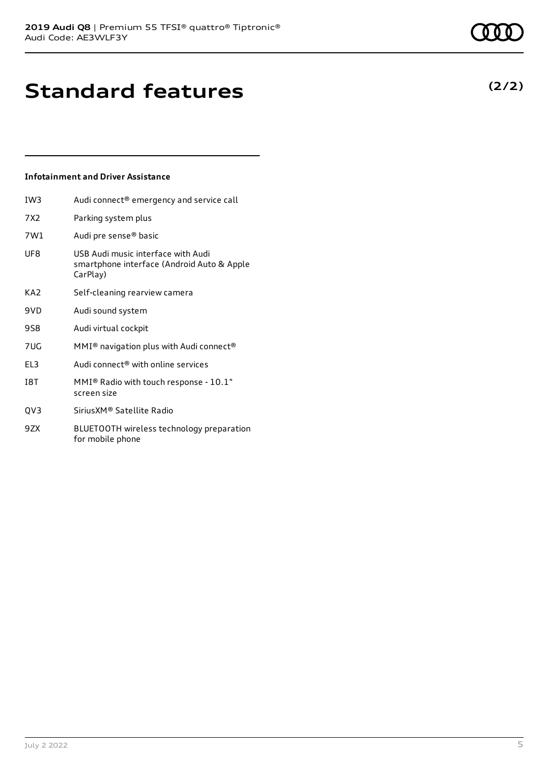**(2/2)**

# **Standard features**

#### **Infotainment and Driver Assistance**

| IW <sub>3</sub> | Audi connect® emergency and service call                                                     |
|-----------------|----------------------------------------------------------------------------------------------|
| 7X2             | Parking system plus                                                                          |
| 7W1             | Audi pre sense® basic                                                                        |
| UF8             | USB Audi music interface with Audi<br>smartphone interface (Android Auto & Apple<br>CarPlay) |
| KA <sub>2</sub> | Self-cleaning rearview camera                                                                |
| 9VD             | Audi sound system                                                                            |
| 9S8             | Audi virtual cockpit                                                                         |
| 7UG             | MMI <sup>®</sup> navigation plus with Audi connect <sup>®</sup>                              |
| EL <sub>3</sub> | Audi connect <sup>®</sup> with online services                                               |
| <b>18T</b>      | MMI® Radio with touch response - 10.1"<br>screen size                                        |
| QV3             | Sirius XM <sup>®</sup> Satellite Radio                                                       |
| 9ZX             | BLUETOOTH wireless technology preparation<br>for mobile phone                                |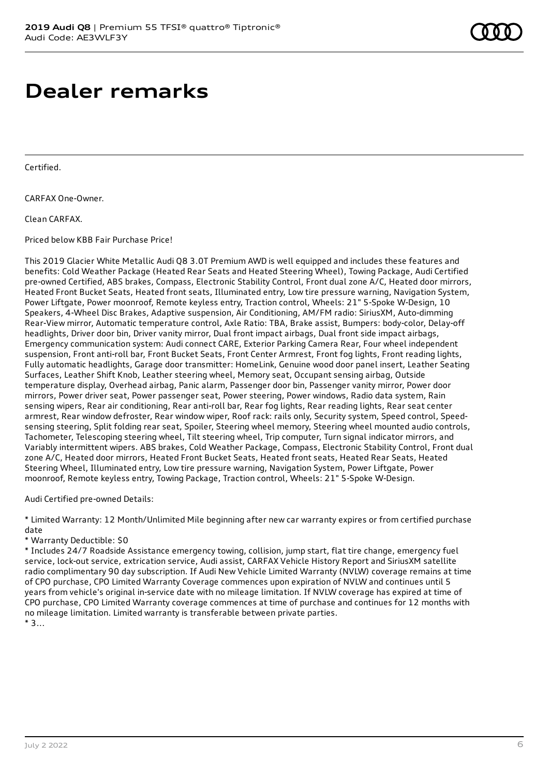### **Dealer remarks**

Certified.

CARFAX One-Owner.

Clean CARFAX.

Priced below KBB Fair Purchase Price!

This 2019 Glacier White Metallic Audi Q8 3.0T Premium AWD is well equipped and includes these features and benefits: Cold Weather Package (Heated Rear Seats and Heated Steering Wheel), Towing Package, Audi Certified pre-owned Certified, ABS brakes, Compass, Electronic Stability Control, Front dual zone A/C, Heated door mirrors, Heated Front Bucket Seats, Heated front seats, Illuminated entry, Low tire pressure warning, Navigation System, Power Liftgate, Power moonroof, Remote keyless entry, Traction control, Wheels: 21" 5-Spoke W-Design, 10 Speakers, 4-Wheel Disc Brakes, Adaptive suspension, Air Conditioning, AM/FM radio: SiriusXM, Auto-dimming Rear-View mirror, Automatic temperature control, Axle Ratio: TBA, Brake assist, Bumpers: body-color, Delay-off headlights, Driver door bin, Driver vanity mirror, Dual front impact airbags, Dual front side impact airbags, Emergency communication system: Audi connect CARE, Exterior Parking Camera Rear, Four wheel independent suspension, Front anti-roll bar, Front Bucket Seats, Front Center Armrest, Front fog lights, Front reading lights, Fully automatic headlights, Garage door transmitter: HomeLink, Genuine wood door panel insert, Leather Seating Surfaces, Leather Shift Knob, Leather steering wheel, Memory seat, Occupant sensing airbag, Outside temperature display, Overhead airbag, Panic alarm, Passenger door bin, Passenger vanity mirror, Power door mirrors, Power driver seat, Power passenger seat, Power steering, Power windows, Radio data system, Rain sensing wipers, Rear air conditioning, Rear anti-roll bar, Rear fog lights, Rear reading lights, Rear seat center armrest, Rear window defroster, Rear window wiper, Roof rack: rails only, Security system, Speed control, Speedsensing steering, Split folding rear seat, Spoiler, Steering wheel memory, Steering wheel mounted audio controls, Tachometer, Telescoping steering wheel, Tilt steering wheel, Trip computer, Turn signal indicator mirrors, and Variably intermittent wipers. ABS brakes, Cold Weather Package, Compass, Electronic Stability Control, Front dual zone A/C, Heated door mirrors, Heated Front Bucket Seats, Heated front seats, Heated Rear Seats, Heated Steering Wheel, Illuminated entry, Low tire pressure warning, Navigation System, Power Liftgate, Power moonroof, Remote keyless entry, Towing Package, Traction control, Wheels: 21" 5-Spoke W-Design.

Audi Certified pre-owned Details:

\* Limited Warranty: 12 Month/Unlimited Mile beginning after new car warranty expires or from certified purchase date

\* Warranty Deductible: \$0

\* Includes 24/7 Roadside Assistance emergency towing, collision, jump start, flat tire change, emergency fuel service, lock-out service, extrication service, Audi assist, CARFAX Vehicle History Report and SiriusXM satellite radio complimentary 90 day subscription. If Audi New Vehicle Limited Warranty (NVLW) coverage remains at time of CPO purchase, CPO Limited Warranty Coverage commences upon expiration of NVLW and continues until 5 years from vehicle's original in-service date with no mileage limitation. If NVLW coverage has expired at time of CPO purchase, CPO Limited Warranty coverage commences at time of purchase and continues for 12 months with no mileage limitation. Limited warranty is transferable between private parties.  $*3...$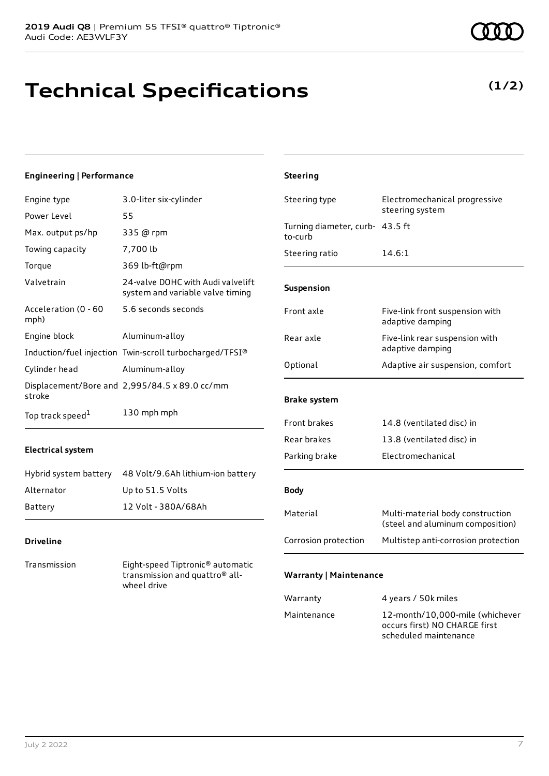# **Technical Specifications**

#### **Engineering | Performance**

| Engine type                  | 3.0-liter six-cylinder                                                | St       |
|------------------------------|-----------------------------------------------------------------------|----------|
| Power Level                  | 55                                                                    |          |
| Max. output ps/hp            | 335 @ rpm                                                             | Tu<br>to |
| Towing capacity              | 7,700 lb                                                              | St       |
| Torque                       | 369 lb-ft@rpm                                                         |          |
| Valvetrain                   | 24-valve DOHC with Audi valvelift<br>system and variable valve timing | Sι       |
| Acceleration (0 - 60<br>mph) | 5.6 seconds seconds                                                   | Fr       |
| Engine block                 | Aluminum-alloy                                                        | R        |
|                              | Induction/fuel injection Twin-scroll turbocharged/TFSI®               |          |
| Cylinder head                | Aluminum-alloy                                                        | Οı       |
|                              | Displacement/Bore and 2,995/84.5 x 89.0 cc/mm                         |          |
| stroke                       |                                                                       | Br       |
| Top track speed <sup>1</sup> | 130 mph mph                                                           |          |

#### **Electrical system**

|            | Hybrid system battery 48 Volt/9.6Ah lithium-ion battery |
|------------|---------------------------------------------------------|
| Alternator | Up to 51.5 Volts                                        |
| Battery    | 12 Volt - 380A/68Ah                                     |

#### **Driveline**

Transmission Eight-speed Tiptronic® automatic transmission and quattro® allwheel drive

| <b>Steering</b>                            |                                                                      |  |
|--------------------------------------------|----------------------------------------------------------------------|--|
| Steering type                              | Electromechanical progressive<br>steering system                     |  |
| Turning diameter, curb- 43.5 ft<br>to-curb |                                                                      |  |
| Steering ratio                             | 14.6:1                                                               |  |
| Suspension                                 |                                                                      |  |
| Front axle                                 | Five-link front suspension with<br>adaptive damping                  |  |
| Rear axle                                  | Five-link rear suspension with<br>adaptive damping                   |  |
| Optional                                   | Adaptive air suspension, comfort                                     |  |
| <b>Brake system</b>                        |                                                                      |  |
| <b>Front brakes</b>                        | 14.8 (ventilated disc) in                                            |  |
| Rear brakes                                | 13.8 (ventilated disc) in                                            |  |
| Parking brake                              | Electromechanical                                                    |  |
| <b>Body</b>                                |                                                                      |  |
| Material                                   | Multi-material body construction<br>(steel and aluminum composition) |  |
| Corrosion protection                       | Multistep anti-corrosion protection                                  |  |
| <b>Warranty   Maintenance</b>              |                                                                      |  |

| Warranty    | 4 years / 50k miles                                                                       |
|-------------|-------------------------------------------------------------------------------------------|
| Maintenance | 12-month/10,000-mile (whichever<br>occurs first) NO CHARGE first<br>scheduled maintenance |

**(1/2)**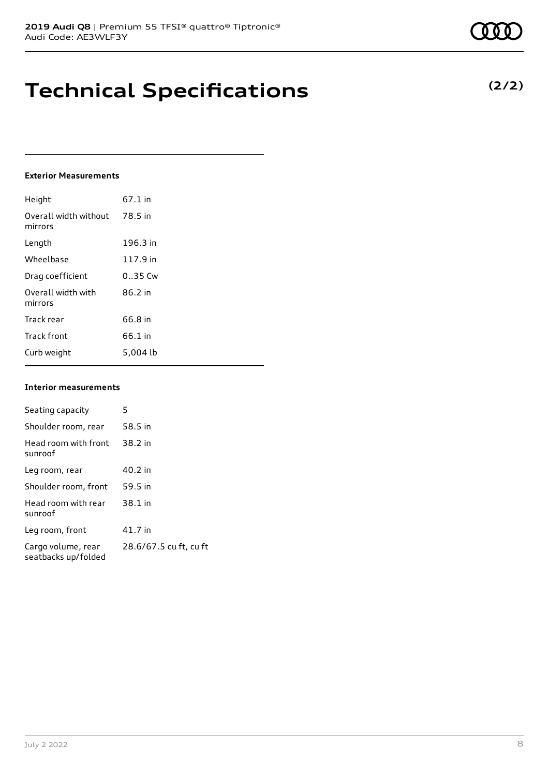## **Technical Specifications**

#### **Exterior Measurements**

| Height                           | 67.1 in   |
|----------------------------------|-----------|
| Overall width without<br>mirrors | 78.5 in   |
| Length                           | 196.3 in  |
| Wheelbase                        | 117.9 in  |
| Drag coefficient                 | $0.35$ Cw |
| Overall width with<br>mirrors    | 86.2 in   |
| Track rear                       | 66.8 in   |
| <b>Track front</b>               | 66.1 in   |
| Curb weight                      | 5.004 lb  |

#### **Interior measurements**

| Seating capacity                          | 5                      |
|-------------------------------------------|------------------------|
| Shoulder room, rear                       | 58.5 in                |
| Head room with front<br>sunroof           | 38.2 in                |
| Leg room, rear                            | 40.2 in                |
| Shoulder room, front                      | 59.5 in                |
| Head room with rear<br>sunroof            | 38.1 in                |
| Leg room, front                           | 41.7 in                |
| Cargo volume, rear<br>seatbacks up/folded | 28.6/67.5 cu ft, cu ft |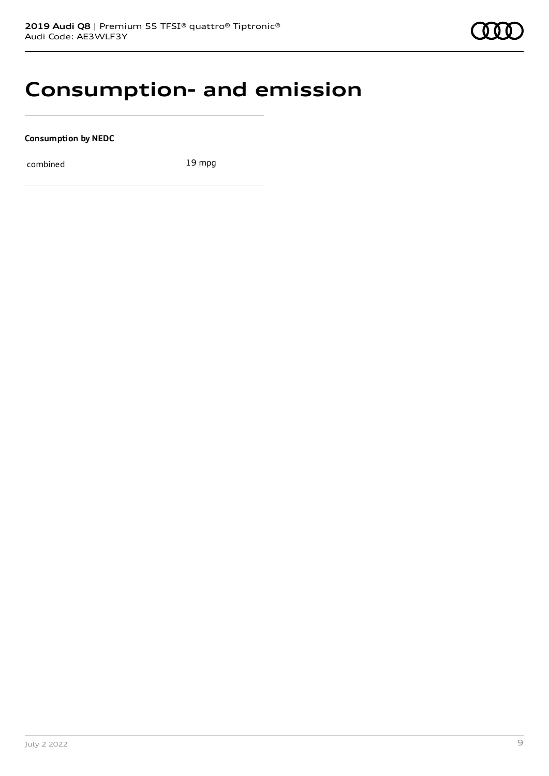### **Consumption- and emission**

**Consumption by NEDC**

combined 19 mpg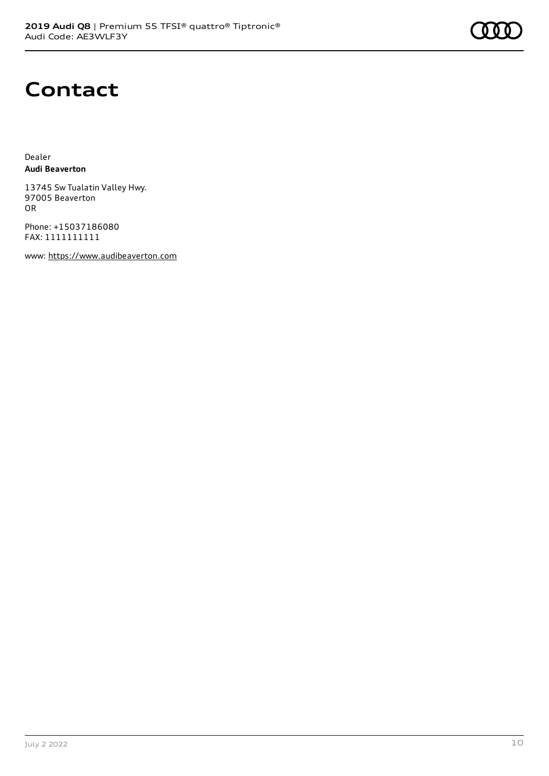# **Contact**

Dealer **Audi Beaverton**

13745 Sw Tualatin Valley Hwy. 97005 Beaverton OR

Phone: +15037186080 FAX: 1111111111

www: [https://www.audibeaverton.com](https://www.audibeaverton.com/)